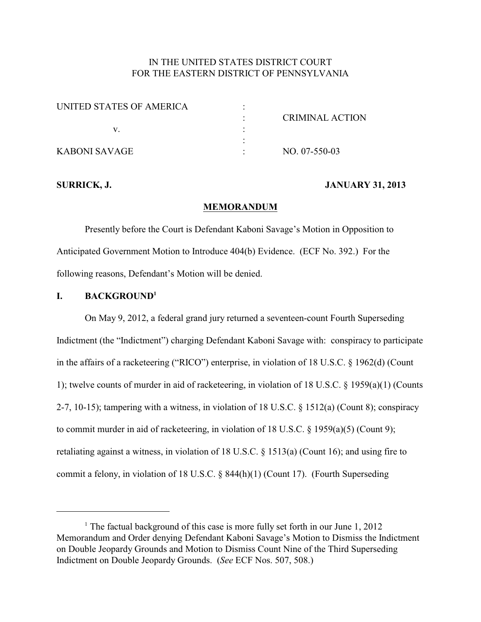## IN THE UNITED STATES DISTRICT COURT FOR THE EASTERN DISTRICT OF PENNSYLVANIA

| UNITED STATES OF AMERICA |                        |
|--------------------------|------------------------|
|                          | <b>CRIMINAL ACTION</b> |
|                          |                        |
|                          |                        |
| KABONI SAVAGE            | NO. 07-550-03          |

#### **SURRICK, J. JANUARY 31, 2013**

#### **MEMORANDUM**

Presently before the Court is Defendant Kaboni Savage's Motion in Opposition to Anticipated Government Motion to Introduce 404(b) Evidence. (ECF No. 392.) For the following reasons, Defendant's Motion will be denied.

#### **I. BACKGROUND<sup>1</sup>**

On May 9, 2012, a federal grand jury returned a seventeen-count Fourth Superseding Indictment (the "Indictment") charging Defendant Kaboni Savage with: conspiracy to participate in the affairs of a racketeering ("RICO") enterprise, in violation of 18 U.S.C. § 1962(d) (Count 1); twelve counts of murder in aid of racketeering, in violation of 18 U.S.C. § 1959(a)(1) (Counts 2-7, 10-15); tampering with a witness, in violation of 18 U.S.C. § 1512(a) (Count 8); conspiracy to commit murder in aid of racketeering, in violation of 18 U.S.C. § 1959(a)(5) (Count 9); retaliating against a witness, in violation of 18 U.S.C.  $\S$  1513(a) (Count 16); and using fire to commit a felony, in violation of 18 U.S.C. § 844(h)(1) (Count 17). (Fourth Superseding

<sup>&</sup>lt;sup>1</sup> The factual background of this case is more fully set forth in our June  $1, 2012$ Memorandum and Order denying Defendant Kaboni Savage's Motion to Dismiss the Indictment on Double Jeopardy Grounds and Motion to Dismiss Count Nine of the Third Superseding Indictment on Double Jeopardy Grounds. (*See* ECF Nos. 507, 508.)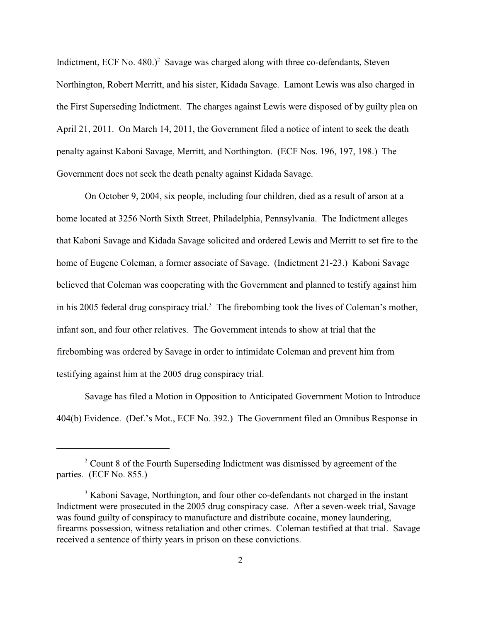Indictment, ECF No. 480.)<sup>2</sup> Savage was charged along with three co-defendants, Steven Northington, Robert Merritt, and his sister, Kidada Savage. Lamont Lewis was also charged in the First Superseding Indictment. The charges against Lewis were disposed of by guilty plea on April 21, 2011. On March 14, 2011, the Government filed a notice of intent to seek the death penalty against Kaboni Savage, Merritt, and Northington. (ECF Nos. 196, 197, 198.) The Government does not seek the death penalty against Kidada Savage.

On October 9, 2004, six people, including four children, died as a result of arson at a home located at 3256 North Sixth Street, Philadelphia, Pennsylvania. The Indictment alleges that Kaboni Savage and Kidada Savage solicited and ordered Lewis and Merritt to set fire to the home of Eugene Coleman, a former associate of Savage. (Indictment 21-23.) Kaboni Savage believed that Coleman was cooperating with the Government and planned to testify against him in his 2005 federal drug conspiracy trial.<sup>3</sup> The firebombing took the lives of Coleman's mother, infant son, and four other relatives. The Government intends to show at trial that the firebombing was ordered by Savage in order to intimidate Coleman and prevent him from testifying against him at the 2005 drug conspiracy trial.

Savage has filed a Motion in Opposition to Anticipated Government Motion to Introduce 404(b) Evidence. (Def.'s Mot., ECF No. 392.) The Government filed an Omnibus Response in

 $2$  Count 8 of the Fourth Superseding Indictment was dismissed by agreement of the parties. (ECF No. 855.)

<sup>&</sup>lt;sup>3</sup> Kaboni Savage, Northington, and four other co-defendants not charged in the instant Indictment were prosecuted in the 2005 drug conspiracy case. After a seven-week trial, Savage was found guilty of conspiracy to manufacture and distribute cocaine, money laundering, firearms possession, witness retaliation and other crimes. Coleman testified at that trial. Savage received a sentence of thirty years in prison on these convictions.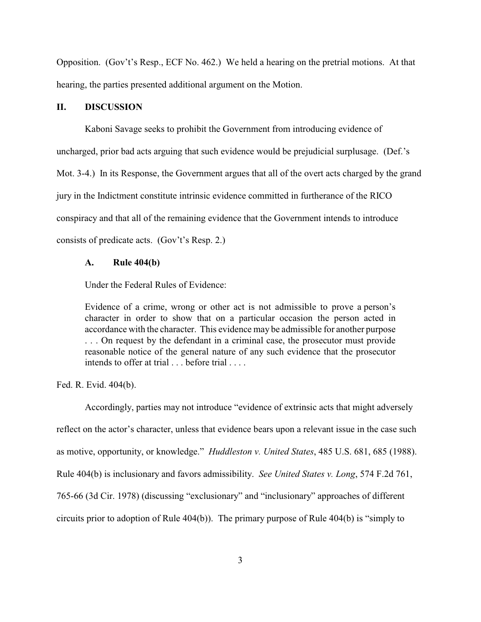Opposition. (Gov't's Resp., ECF No. 462.) We held a hearing on the pretrial motions. At that hearing, the parties presented additional argument on the Motion.

#### **II. DISCUSSION**

Kaboni Savage seeks to prohibit the Government from introducing evidence of uncharged, prior bad acts arguing that such evidence would be prejudicial surplusage. (Def.'s Mot. 3-4.) In its Response, the Government argues that all of the overt acts charged by the grand jury in the Indictment constitute intrinsic evidence committed in furtherance of the RICO conspiracy and that all of the remaining evidence that the Government intends to introduce consists of predicate acts. (Gov't's Resp. 2.)

#### **A. Rule 404(b)**

Under the Federal Rules of Evidence:

Evidence of a crime, wrong or other act is not admissible to prove a person's character in order to show that on a particular occasion the person acted in accordance with the character. This evidence may be admissible for another purpose . . . On request by the defendant in a criminal case, the prosecutor must provide reasonable notice of the general nature of any such evidence that the prosecutor intends to offer at trial . . . before trial . . . .

Fed. R. Evid. 404(b).

Accordingly, parties may not introduce "evidence of extrinsic acts that might adversely reflect on the actor's character, unless that evidence bears upon a relevant issue in the case such as motive, opportunity, or knowledge." *Huddleston v. United States*, 485 U.S. 681, 685 (1988). Rule 404(b) is inclusionary and favors admissibility. *See United States v. Long*, 574 F.2d 761, 765-66 (3d Cir. 1978) (discussing "exclusionary" and "inclusionary" approaches of different circuits prior to adoption of Rule 404(b)). The primary purpose of Rule 404(b) is "simply to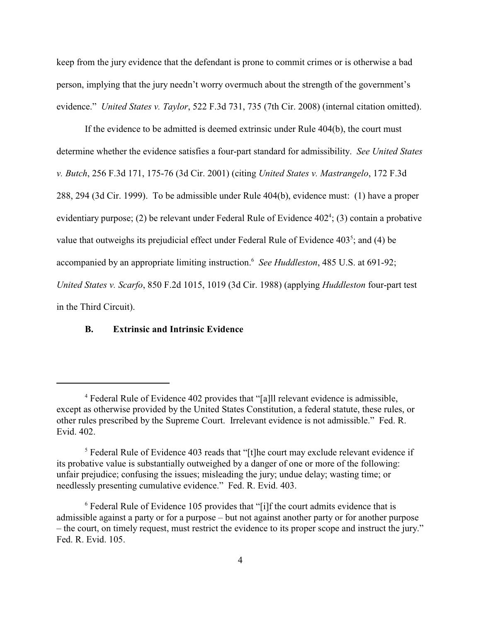keep from the jury evidence that the defendant is prone to commit crimes or is otherwise a bad person, implying that the jury needn't worry overmuch about the strength of the government's evidence." *United States v. Taylor*, 522 F.3d 731, 735 (7th Cir. 2008) (internal citation omitted).

If the evidence to be admitted is deemed extrinsic under Rule 404(b), the court must determine whether the evidence satisfies a four-part standard for admissibility. *See United States v. Butch*, 256 F.3d 171, 175-76 (3d Cir. 2001) (citing *United States v. Mastrangelo*, 172 F.3d 288, 294 (3d Cir. 1999). To be admissible under Rule 404(b), evidence must: (1) have a proper evidentiary purpose; (2) be relevant under Federal Rule of Evidence  $402^4$ ; (3) contain a probative value that outweighs its prejudicial effect under Federal Rule of Evidence  $403<sup>5</sup>$ ; and (4) be accompanied by an appropriate limiting instruction. *See Huddleston*, 485 U.S. at 691-92; <sup>6</sup> *United States v. Scarfo*, 850 F.2d 1015, 1019 (3d Cir. 1988) (applying *Huddleston* four-part test in the Third Circuit).

## **B. Extrinsic and Intrinsic Evidence**

Federal Rule of Evidence 402 provides that "[a]ll relevant evidence is admissible, <sup>4</sup> except as otherwise provided by the United States Constitution, a federal statute, these rules, or other rules prescribed by the Supreme Court. Irrelevant evidence is not admissible." Fed. R. Evid. 402.

<sup>&</sup>lt;sup>5</sup> Federal Rule of Evidence 403 reads that "[t]he court may exclude relevant evidence if its probative value is substantially outweighed by a danger of one or more of the following: unfair prejudice; confusing the issues; misleading the jury; undue delay; wasting time; or needlessly presenting cumulative evidence." Fed. R. Evid. 403.

 $6$  Federal Rule of Evidence 105 provides that "[i]f the court admits evidence that is admissible against a party or for a purpose – but not against another party or for another purpose – the court, on timely request, must restrict the evidence to its proper scope and instruct the jury." Fed. R. Evid. 105.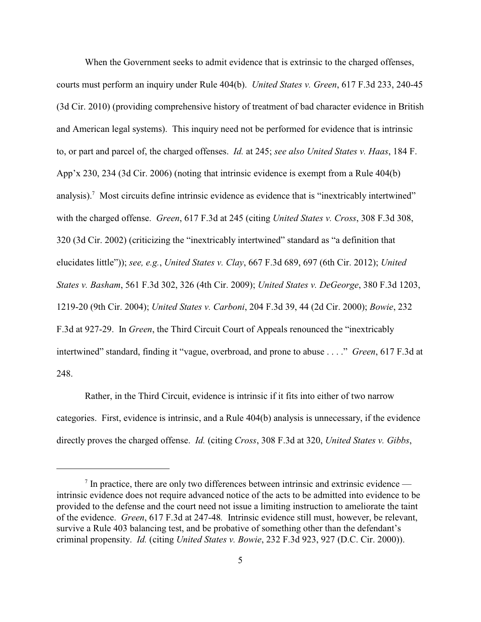When the Government seeks to admit evidence that is extrinsic to the charged offenses, courts must perform an inquiry under Rule 404(b). *United States v. Green*, 617 F.3d 233, 240-45 (3d Cir. 2010) (providing comprehensive history of treatment of bad character evidence in British and American legal systems). This inquiry need not be performed for evidence that is intrinsic to, or part and parcel of, the charged offenses. *Id.* at 245; *see also United States v. Haas*, 184 F. App'x 230, 234 (3d Cir. 2006) (noting that intrinsic evidence is exempt from a Rule 404(b) analysis).<sup>7</sup> Most circuits define intrinsic evidence as evidence that is "inextricably intertwined" with the charged offense. *Green*, 617 F.3d at 245 (citing *United States v. Cross*, 308 F.3d 308, 320 (3d Cir. 2002) (criticizing the "inextricably intertwined" standard as "a definition that elucidates little")); *see, e.g.*, *United States v. Clay*, 667 F.3d 689, 697 (6th Cir. 2012); *United States v. Basham*, 561 F.3d 302, 326 (4th Cir. 2009); *United States v. DeGeorge*, 380 F.3d 1203, 1219-20 (9th Cir. 2004); *United States v. Carboni*, 204 F.3d 39, 44 (2d Cir. 2000); *Bowie*, 232 F.3d at 927-29. In *Green*, the Third Circuit Court of Appeals renounced the "inextricably intertwined" standard, finding it "vague, overbroad, and prone to abuse . . . ." *Green*, 617 F.3d at 248.

Rather, in the Third Circuit, evidence is intrinsic if it fits into either of two narrow categories. First, evidence is intrinsic, and a Rule 404(b) analysis is unnecessary, if the evidence directly proves the charged offense. *Id.* (citing *Cross*, 308 F.3d at 320, *United States v. Gibbs*,

 $7$  In practice, there are only two differences between intrinsic and extrinsic evidence intrinsic evidence does not require advanced notice of the acts to be admitted into evidence to be provided to the defense and the court need not issue a limiting instruction to ameliorate the taint of the evidence. *Green*, 617 F.3d at 247-48*.* Intrinsic evidence still must, however, be relevant, survive a Rule 403 balancing test, and be probative of something other than the defendant's criminal propensity. *Id.* (citing *United States v. Bowie*, 232 F.3d 923, 927 (D.C. Cir. 2000)).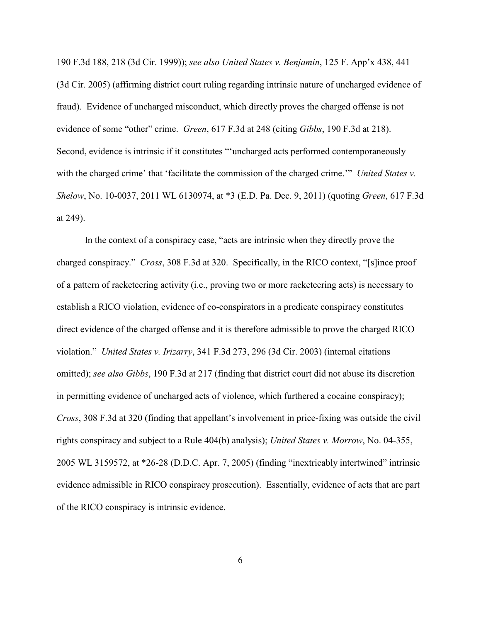190 F.3d 188, 218 (3d Cir. 1999)); *see also United States v. Benjamin*, 125 F. App'x 438, 441 (3d Cir. 2005) (affirming district court ruling regarding intrinsic nature of uncharged evidence of fraud). Evidence of uncharged misconduct, which directly proves the charged offense is not evidence of some "other" crime. *Green*, 617 F.3d at 248 (citing *Gibbs*, 190 F.3d at 218). Second, evidence is intrinsic if it constitutes "'uncharged acts performed contemporaneously with the charged crime' that 'facilitate the commission of the charged crime.'" *United States v. Shelow*, No. 10-0037, 2011 WL 6130974, at \*3 (E.D. Pa. Dec. 9, 2011) (quoting *Green*, 617 F.3d at 249).

In the context of a conspiracy case, "acts are intrinsic when they directly prove the charged conspiracy." *Cross*, 308 F.3d at 320. Specifically, in the RICO context, "[s]ince proof of a pattern of racketeering activity (i.e., proving two or more racketeering acts) is necessary to establish a RICO violation, evidence of co-conspirators in a predicate conspiracy constitutes direct evidence of the charged offense and it is therefore admissible to prove the charged RICO violation." *United States v. Irizarry*, 341 F.3d 273, 296 (3d Cir. 2003) (internal citations omitted); *see also Gibbs*, 190 F.3d at 217 (finding that district court did not abuse its discretion in permitting evidence of uncharged acts of violence, which furthered a cocaine conspiracy); *Cross*, 308 F.3d at 320 (finding that appellant's involvement in price-fixing was outside the civil rights conspiracy and subject to a Rule 404(b) analysis); *United States v. Morrow*, No. 04-355, 2005 WL 3159572, at \*26-28 (D.D.C. Apr. 7, 2005) (finding "inextricably intertwined" intrinsic evidence admissible in RICO conspiracy prosecution). Essentially, evidence of acts that are part of the RICO conspiracy is intrinsic evidence.

6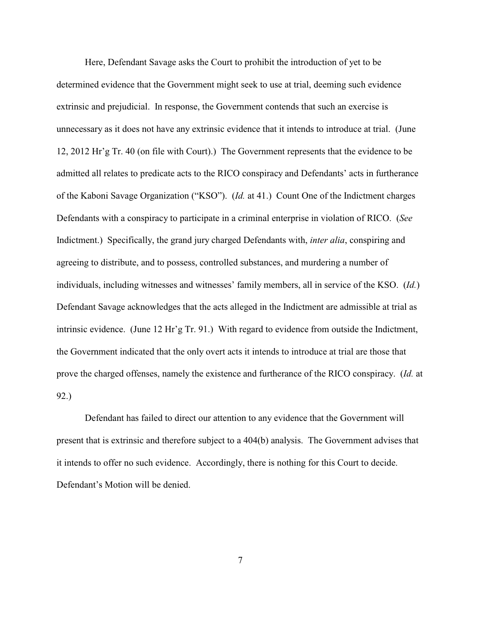Here, Defendant Savage asks the Court to prohibit the introduction of yet to be determined evidence that the Government might seek to use at trial, deeming such evidence extrinsic and prejudicial. In response, the Government contends that such an exercise is unnecessary as it does not have any extrinsic evidence that it intends to introduce at trial. (June 12, 2012 Hr'g Tr. 40 (on file with Court).) The Government represents that the evidence to be admitted all relates to predicate acts to the RICO conspiracy and Defendants' acts in furtherance of the Kaboni Savage Organization ("KSO"). (*Id.* at 41.) Count One of the Indictment charges Defendants with a conspiracy to participate in a criminal enterprise in violation of RICO. (*See* Indictment.) Specifically, the grand jury charged Defendants with, *inter alia*, conspiring and agreeing to distribute, and to possess, controlled substances, and murdering a number of individuals, including witnesses and witnesses' family members, all in service of the KSO. (*Id.*) Defendant Savage acknowledges that the acts alleged in the Indictment are admissible at trial as intrinsic evidence. (June 12 Hr'g Tr. 91.) With regard to evidence from outside the Indictment, the Government indicated that the only overt acts it intends to introduce at trial are those that prove the charged offenses, namely the existence and furtherance of the RICO conspiracy. (*Id.* at 92.)

Defendant has failed to direct our attention to any evidence that the Government will present that is extrinsic and therefore subject to a 404(b) analysis. The Government advises that it intends to offer no such evidence. Accordingly, there is nothing for this Court to decide. Defendant's Motion will be denied.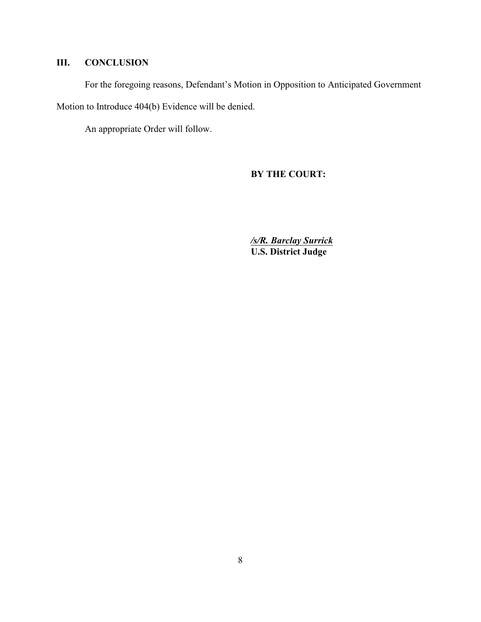# **III. CONCLUSION**

For the foregoing reasons, Defendant's Motion in Opposition to Anticipated Government

Motion to Introduce 404(b) Evidence will be denied.

An appropriate Order will follow.

**BY THE COURT:**

*/s/R. Barclay Surrick* **U.S. District Judge**